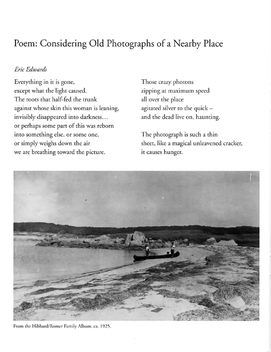## Poem: Considering **Old** Photographs of a Nearby Place

## *Eric Edwards*

Everyrhing in ir is gone, except what the light caused. The roots that half-fed the trunk againsr whose skin rhis woman is leaning, invisibly disappeared into darkness... or perhaps some part of this was reborn into something else, or some one, or simply weighs down rhe air we are breathing toward the picture.

Those crazy photons zipping ar maximum speed all over rhe place agitated silver to the quick and the dead live on, haunting.

The phorograph is such a rhin sheer, like a magical unleavened cracker, ir causes hunger.



From the Hibbard/Romer Family Album. ca. 1925.